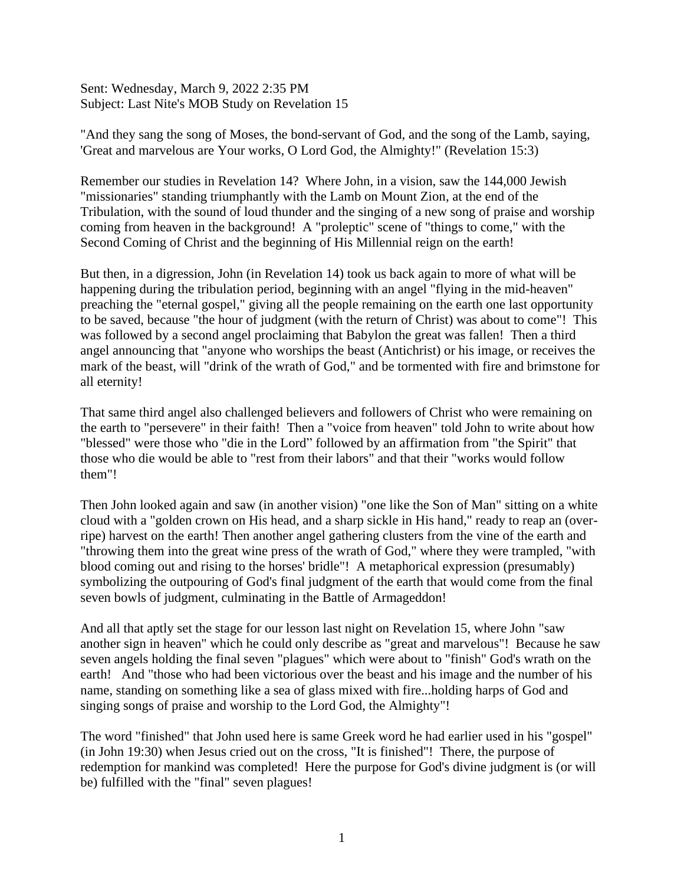Sent: Wednesday, March 9, 2022 2:35 PM Subject: Last Nite's MOB Study on Revelation 15

"And they sang the song of Moses, the bond-servant of God, and the song of the Lamb, saying, 'Great and marvelous are Your works, O Lord God, the Almighty!" (Revelation 15:3)

Remember our studies in Revelation 14? Where John, in a vision, saw the 144,000 Jewish "missionaries" standing triumphantly with the Lamb on Mount Zion, at the end of the Tribulation, with the sound of loud thunder and the singing of a new song of praise and worship coming from heaven in the background! A "proleptic" scene of "things to come," with the Second Coming of Christ and the beginning of His Millennial reign on the earth!

But then, in a digression, John (in Revelation 14) took us back again to more of what will be happening during the tribulation period, beginning with an angel "flying in the mid-heaven" preaching the "eternal gospel," giving all the people remaining on the earth one last opportunity to be saved, because "the hour of judgment (with the return of Christ) was about to come"! This was followed by a second angel proclaiming that Babylon the great was fallen! Then a third angel announcing that "anyone who worships the beast (Antichrist) or his image, or receives the mark of the beast, will "drink of the wrath of God," and be tormented with fire and brimstone for all eternity!

That same third angel also challenged believers and followers of Christ who were remaining on the earth to "persevere" in their faith! Then a "voice from heaven" told John to write about how "blessed" were those who "die in the Lord" followed by an affirmation from "the Spirit" that those who die would be able to "rest from their labors" and that their "works would follow them"!

Then John looked again and saw (in another vision) "one like the Son of Man" sitting on a white cloud with a "golden crown on His head, and a sharp sickle in His hand," ready to reap an (overripe) harvest on the earth! Then another angel gathering clusters from the vine of the earth and "throwing them into the great wine press of the wrath of God," where they were trampled, "with blood coming out and rising to the horses' bridle"! A metaphorical expression (presumably) symbolizing the outpouring of God's final judgment of the earth that would come from the final seven bowls of judgment, culminating in the Battle of Armageddon!

And all that aptly set the stage for our lesson last night on Revelation 15, where John "saw another sign in heaven" which he could only describe as "great and marvelous"! Because he saw seven angels holding the final seven "plagues" which were about to "finish" God's wrath on the earth! And "those who had been victorious over the beast and his image and the number of his name, standing on something like a sea of glass mixed with fire...holding harps of God and singing songs of praise and worship to the Lord God, the Almighty"!

The word "finished" that John used here is same Greek word he had earlier used in his "gospel" (in John 19:30) when Jesus cried out on the cross, "It is finished"! There, the purpose of redemption for mankind was completed! Here the purpose for God's divine judgment is (or will be) fulfilled with the "final" seven plagues!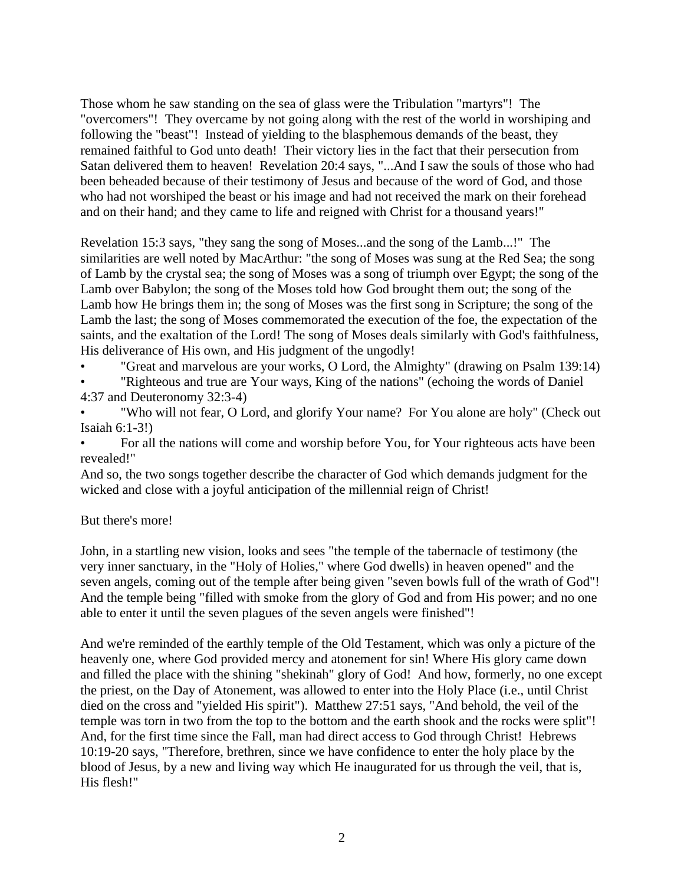Those whom he saw standing on the sea of glass were the Tribulation "martyrs"! The "overcomers"! They overcame by not going along with the rest of the world in worshiping and following the "beast"! Instead of yielding to the blasphemous demands of the beast, they remained faithful to God unto death! Their victory lies in the fact that their persecution from Satan delivered them to heaven! Revelation 20:4 says, "...And I saw the souls of those who had been beheaded because of their testimony of Jesus and because of the word of God, and those who had not worshiped the beast or his image and had not received the mark on their forehead and on their hand; and they came to life and reigned with Christ for a thousand years!"

Revelation 15:3 says, "they sang the song of Moses...and the song of the Lamb...!" The similarities are well noted by MacArthur: "the song of Moses was sung at the Red Sea; the song of Lamb by the crystal sea; the song of Moses was a song of triumph over Egypt; the song of the Lamb over Babylon; the song of the Moses told how God brought them out; the song of the Lamb how He brings them in; the song of Moses was the first song in Scripture; the song of the Lamb the last; the song of Moses commemorated the execution of the foe, the expectation of the saints, and the exaltation of the Lord! The song of Moses deals similarly with God's faithfulness, His deliverance of His own, and His judgment of the ungodly!

- "Great and marvelous are your works, O Lord, the Almighty" (drawing on Psalm 139:14)
- "Righteous and true are Your ways, King of the nations" (echoing the words of Daniel 4:37 and Deuteronomy 32:3-4)
- "Who will not fear, O Lord, and glorify Your name? For You alone are holy" (Check out Isaiah 6:1-3!)
- For all the nations will come and worship before You, for Your righteous acts have been revealed!"

And so, the two songs together describe the character of God which demands judgment for the wicked and close with a joyful anticipation of the millennial reign of Christ!

## But there's more!

John, in a startling new vision, looks and sees "the temple of the tabernacle of testimony (the very inner sanctuary, in the "Holy of Holies," where God dwells) in heaven opened" and the seven angels, coming out of the temple after being given "seven bowls full of the wrath of God"! And the temple being "filled with smoke from the glory of God and from His power; and no one able to enter it until the seven plagues of the seven angels were finished"!

And we're reminded of the earthly temple of the Old Testament, which was only a picture of the heavenly one, where God provided mercy and atonement for sin! Where His glory came down and filled the place with the shining "shekinah" glory of God! And how, formerly, no one except the priest, on the Day of Atonement, was allowed to enter into the Holy Place (i.e., until Christ died on the cross and "yielded His spirit"). Matthew 27:51 says, "And behold, the veil of the temple was torn in two from the top to the bottom and the earth shook and the rocks were split"! And, for the first time since the Fall, man had direct access to God through Christ! Hebrews 10:19-20 says, "Therefore, brethren, since we have confidence to enter the holy place by the blood of Jesus, by a new and living way which He inaugurated for us through the veil, that is, His flesh!"